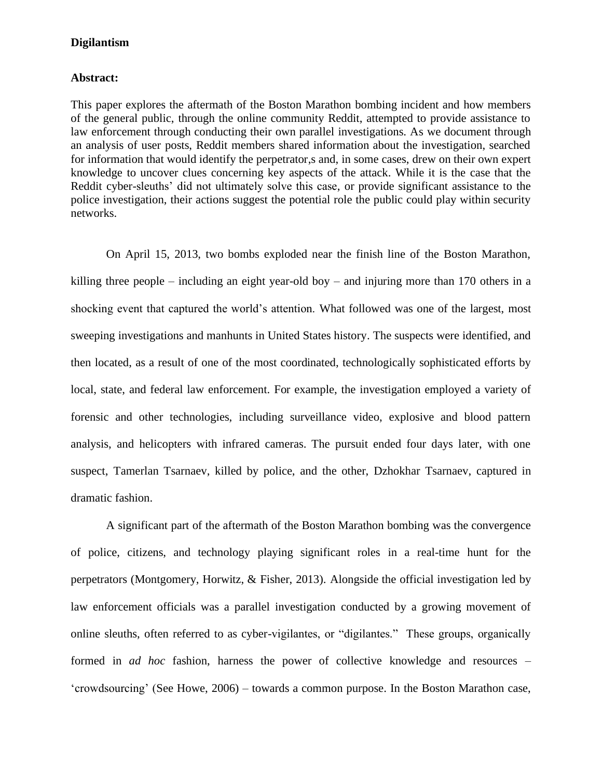### **Abstract:**

This paper explores the aftermath of the Boston Marathon bombing incident and how members of the general public, through the online community Reddit, attempted to provide assistance to law enforcement through conducting their own parallel investigations. As we document through an analysis of user posts, Reddit members shared information about the investigation, searched for information that would identify the perpetrator,s and, in some cases, drew on their own expert knowledge to uncover clues concerning key aspects of the attack. While it is the case that the Reddit cyber-sleuths' did not ultimately solve this case, or provide significant assistance to the police investigation, their actions suggest the potential role the public could play within security networks.

On April 15, 2013, two bombs exploded near the finish line of the Boston Marathon, killing three people – including an eight year-old boy – and injuring more than 170 others in a shocking event that captured the world's attention. What followed was one of the largest, most sweeping investigations and manhunts in United States history. The suspects were identified, and then located, as a result of one of the most coordinated, technologically sophisticated efforts by local, state, and federal law enforcement. For example, the investigation employed a variety of forensic and other technologies, including surveillance video, explosive and blood pattern analysis, and helicopters with infrared cameras. The pursuit ended four days later, with one suspect, Tamerlan Tsarnaev, killed by police, and the other, Dzhokhar Tsarnaev, captured in dramatic fashion.

A significant part of the aftermath of the Boston Marathon bombing was the convergence of police, citizens, and technology playing significant roles in a real-time hunt for the perpetrators (Montgomery, Horwitz, & Fisher, 2013). Alongside the official investigation led by law enforcement officials was a parallel investigation conducted by a growing movement of online sleuths, often referred to as cyber-vigilantes, or "digilantes." These groups, organically formed in *ad hoc* fashion, harness the power of collective knowledge and resources – 'crowdsourcing' (See Howe, 2006) – towards a common purpose. In the Boston Marathon case,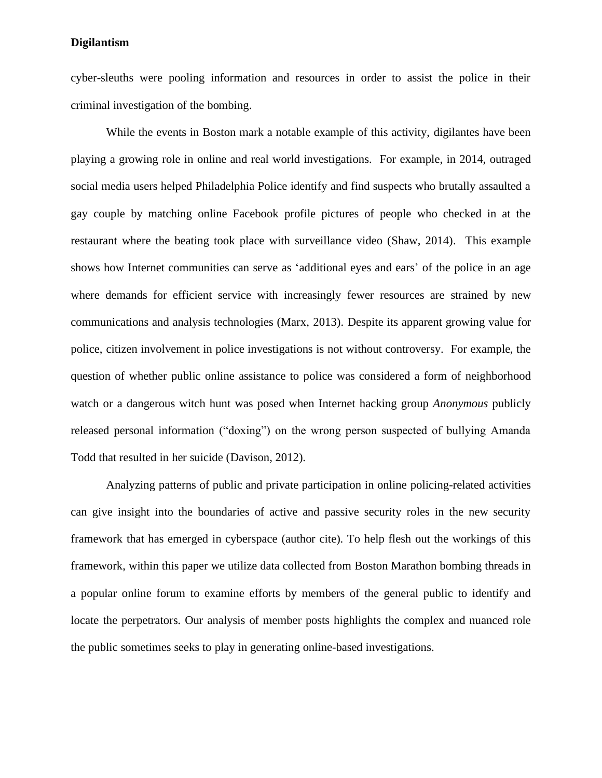cyber-sleuths were pooling information and resources in order to assist the police in their criminal investigation of the bombing.

While the events in Boston mark a notable example of this activity, digilantes have been playing a growing role in online and real world investigations. For example, in 2014, outraged social media users helped Philadelphia Police identify and find suspects who brutally assaulted a gay couple by matching online Facebook profile pictures of people who checked in at the restaurant where the beating took place with surveillance video (Shaw, 2014). This example shows how Internet communities can serve as 'additional eyes and ears' of the police in an age where demands for efficient service with increasingly fewer resources are strained by new communications and analysis technologies (Marx, 2013). Despite its apparent growing value for police, citizen involvement in police investigations is not without controversy. For example, the question of whether public online assistance to police was considered a form of neighborhood watch or a dangerous witch hunt was posed when Internet hacking group *Anonymous* publicly released personal information ("doxing") on the wrong person suspected of bullying Amanda Todd that resulted in her suicide (Davison, 2012).

Analyzing patterns of public and private participation in online policing-related activities can give insight into the boundaries of active and passive security roles in the new security framework that has emerged in cyberspace (author cite). To help flesh out the workings of this framework, within this paper we utilize data collected from Boston Marathon bombing threads in a popular online forum to examine efforts by members of the general public to identify and locate the perpetrators. Our analysis of member posts highlights the complex and nuanced role the public sometimes seeks to play in generating online-based investigations.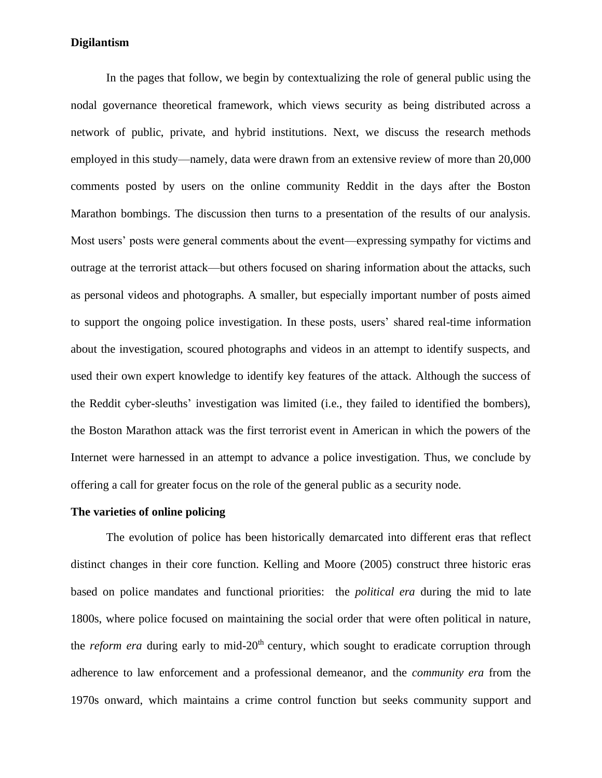In the pages that follow, we begin by contextualizing the role of general public using the nodal governance theoretical framework, which views security as being distributed across a network of public, private, and hybrid institutions. Next, we discuss the research methods employed in this study—namely, data were drawn from an extensive review of more than 20,000 comments posted by users on the online community Reddit in the days after the Boston Marathon bombings. The discussion then turns to a presentation of the results of our analysis. Most users' posts were general comments about the event—expressing sympathy for victims and outrage at the terrorist attack—but others focused on sharing information about the attacks, such as personal videos and photographs. A smaller, but especially important number of posts aimed to support the ongoing police investigation. In these posts, users' shared real-time information about the investigation, scoured photographs and videos in an attempt to identify suspects, and used their own expert knowledge to identify key features of the attack. Although the success of the Reddit cyber-sleuths' investigation was limited (i.e., they failed to identified the bombers), the Boston Marathon attack was the first terrorist event in American in which the powers of the Internet were harnessed in an attempt to advance a police investigation. Thus, we conclude by offering a call for greater focus on the role of the general public as a security node.

#### **The varieties of online policing**

The evolution of police has been historically demarcated into different eras that reflect distinct changes in their core function. Kelling and Moore (2005) construct three historic eras based on police mandates and functional priorities: the *political era* during the mid to late 1800s, where police focused on maintaining the social order that were often political in nature, the *reform era* during early to mid-20<sup>th</sup> century, which sought to eradicate corruption through adherence to law enforcement and a professional demeanor, and the *community era* from the 1970s onward, which maintains a crime control function but seeks community support and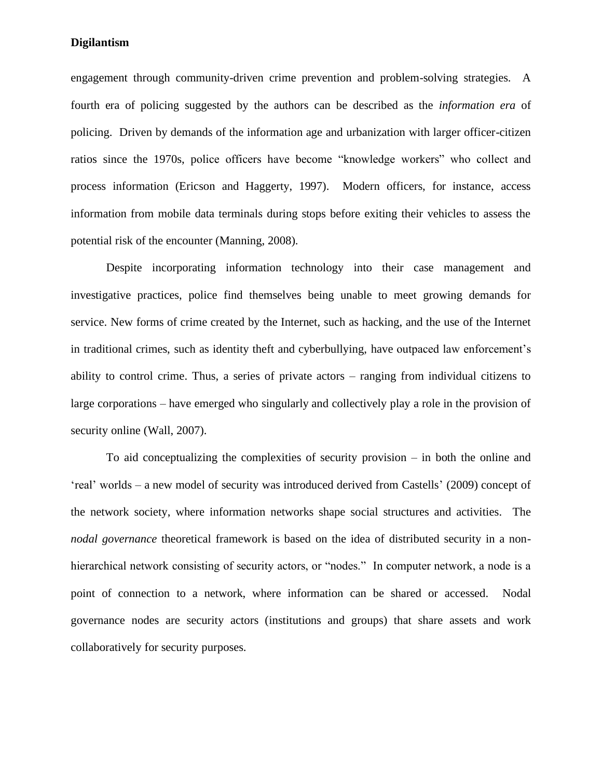engagement through community-driven crime prevention and problem-solving strategies. A fourth era of policing suggested by the authors can be described as the *information era* of policing. Driven by demands of the information age and urbanization with larger officer-citizen ratios since the 1970s, police officers have become "knowledge workers" who collect and process information (Ericson and Haggerty, 1997). Modern officers, for instance, access information from mobile data terminals during stops before exiting their vehicles to assess the potential risk of the encounter (Manning, 2008).

Despite incorporating information technology into their case management and investigative practices, police find themselves being unable to meet growing demands for service. New forms of crime created by the Internet, such as hacking, and the use of the Internet in traditional crimes, such as identity theft and cyberbullying, have outpaced law enforcement's ability to control crime. Thus, a series of private actors – ranging from individual citizens to large corporations – have emerged who singularly and collectively play a role in the provision of security online (Wall, 2007).

To aid conceptualizing the complexities of security provision – in both the online and 'real' worlds – a new model of security was introduced derived from Castells' (2009) concept of the network society, where information networks shape social structures and activities. The *nodal governance* theoretical framework is based on the idea of distributed security in a nonhierarchical network consisting of security actors, or "nodes." In computer network, a node is a point of connection to a network, where information can be shared or accessed. Nodal governance nodes are security actors (institutions and groups) that share assets and work collaboratively for security purposes.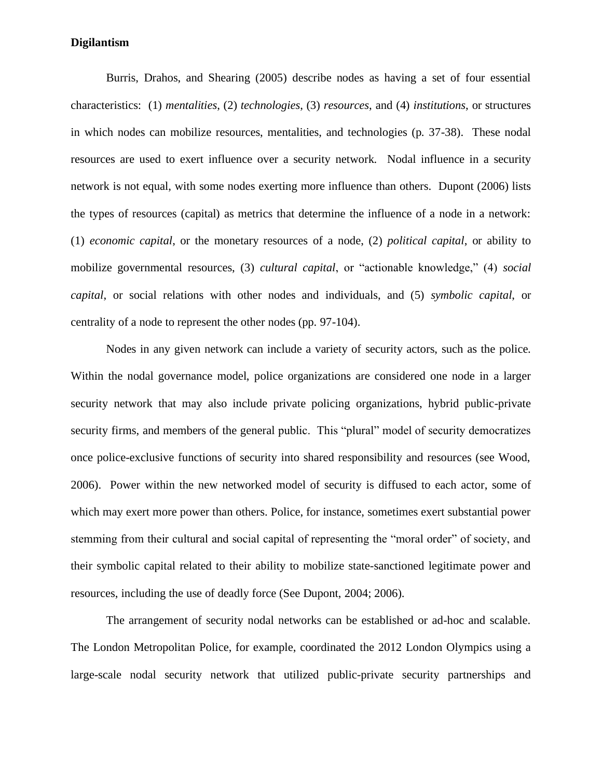Burris, Drahos, and Shearing (2005) describe nodes as having a set of four essential characteristics: (1) *mentalities*, (2) *technologies*, (3) *resources*, and (4) *institutions*, or structures in which nodes can mobilize resources, mentalities, and technologies (p. 37-38). These nodal resources are used to exert influence over a security network. Nodal influence in a security network is not equal, with some nodes exerting more influence than others. Dupont (2006) lists the types of resources (capital) as metrics that determine the influence of a node in a network: (1) *economic capital*, or the monetary resources of a node, (2) *political capital*, or ability to mobilize governmental resources, (3) *cultural capital*, or "actionable knowledge," (4) *social capital*, or social relations with other nodes and individuals, and (5) *symbolic capital*, or centrality of a node to represent the other nodes (pp. 97-104).

Nodes in any given network can include a variety of security actors, such as the police. Within the nodal governance model, police organizations are considered one node in a larger security network that may also include private policing organizations, hybrid public-private security firms, and members of the general public. This "plural" model of security democratizes once police-exclusive functions of security into shared responsibility and resources (see Wood, 2006). Power within the new networked model of security is diffused to each actor, some of which may exert more power than others. Police, for instance, sometimes exert substantial power stemming from their cultural and social capital of representing the "moral order" of society, and their symbolic capital related to their ability to mobilize state-sanctioned legitimate power and resources, including the use of deadly force (See Dupont, 2004; 2006).

The arrangement of security nodal networks can be established or ad-hoc and scalable. The London Metropolitan Police, for example, coordinated the 2012 London Olympics using a large-scale nodal security network that utilized public-private security partnerships and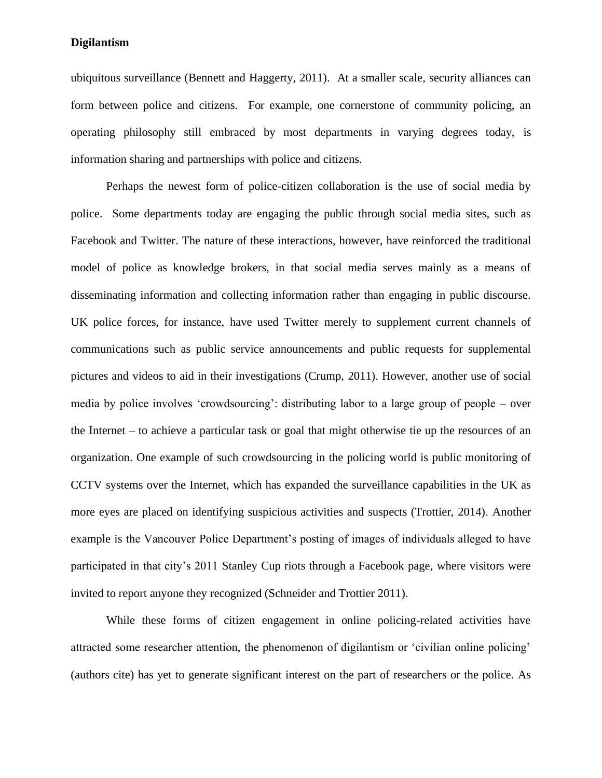ubiquitous surveillance (Bennett and Haggerty, 2011). At a smaller scale, security alliances can form between police and citizens. For example, one cornerstone of community policing, an operating philosophy still embraced by most departments in varying degrees today, is information sharing and partnerships with police and citizens.

Perhaps the newest form of police-citizen collaboration is the use of social media by police. Some departments today are engaging the public through social media sites, such as Facebook and Twitter. The nature of these interactions, however, have reinforced the traditional model of police as knowledge brokers, in that social media serves mainly as a means of disseminating information and collecting information rather than engaging in public discourse. UK police forces, for instance, have used Twitter merely to supplement current channels of communications such as public service announcements and public requests for supplemental pictures and videos to aid in their investigations (Crump, 2011). However, another use of social media by police involves 'crowdsourcing': distributing labor to a large group of people – over the Internet – to achieve a particular task or goal that might otherwise tie up the resources of an organization. One example of such crowdsourcing in the policing world is public monitoring of CCTV systems over the Internet, which has expanded the surveillance capabilities in the UK as more eyes are placed on identifying suspicious activities and suspects (Trottier, 2014). Another example is the Vancouver Police Department's posting of images of individuals alleged to have participated in that city's 2011 Stanley Cup riots through a Facebook page, where visitors were invited to report anyone they recognized (Schneider and Trottier 2011).

While these forms of citizen engagement in online policing-related activities have attracted some researcher attention, the phenomenon of digilantism or 'civilian online policing' (authors cite) has yet to generate significant interest on the part of researchers or the police. As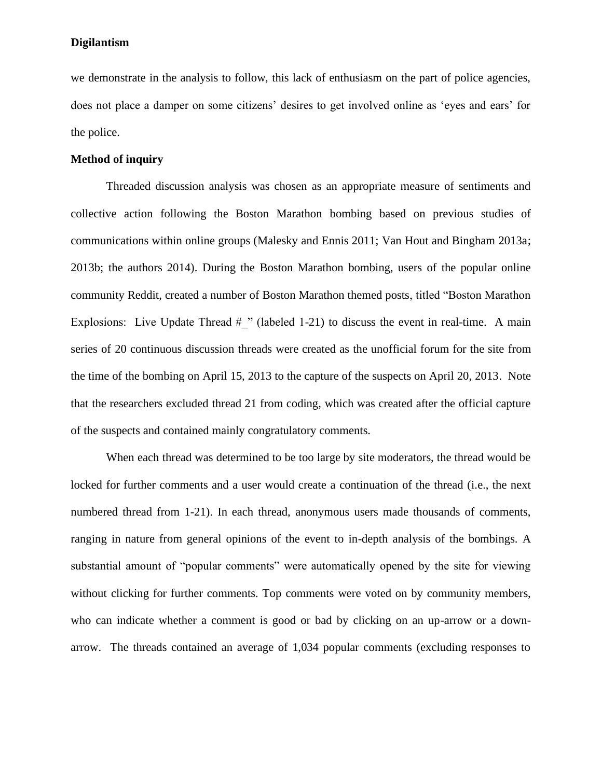we demonstrate in the analysis to follow, this lack of enthusiasm on the part of police agencies, does not place a damper on some citizens' desires to get involved online as 'eyes and ears' for the police.

### **Method of inquiry**

Threaded discussion analysis was chosen as an appropriate measure of sentiments and collective action following the Boston Marathon bombing based on previous studies of communications within online groups (Malesky and Ennis 2011; Van Hout and Bingham 2013a; 2013b; the authors 2014). During the Boston Marathon bombing, users of the popular online community Reddit, created a number of Boston Marathon themed posts, titled "Boston Marathon Explosions: Live Update Thread  $#$  " (labeled 1-21) to discuss the event in real-time. A main series of 20 continuous discussion threads were created as the unofficial forum for the site from the time of the bombing on April 15, 2013 to the capture of the suspects on April 20, 2013. Note that the researchers excluded thread 21 from coding, which was created after the official capture of the suspects and contained mainly congratulatory comments.

When each thread was determined to be too large by site moderators, the thread would be locked for further comments and a user would create a continuation of the thread (i.e., the next numbered thread from 1-21). In each thread, anonymous users made thousands of comments, ranging in nature from general opinions of the event to in-depth analysis of the bombings. A substantial amount of "popular comments" were automatically opened by the site for viewing without clicking for further comments. Top comments were voted on by community members, who can indicate whether a comment is good or bad by clicking on an up-arrow or a downarrow. The threads contained an average of 1,034 popular comments (excluding responses to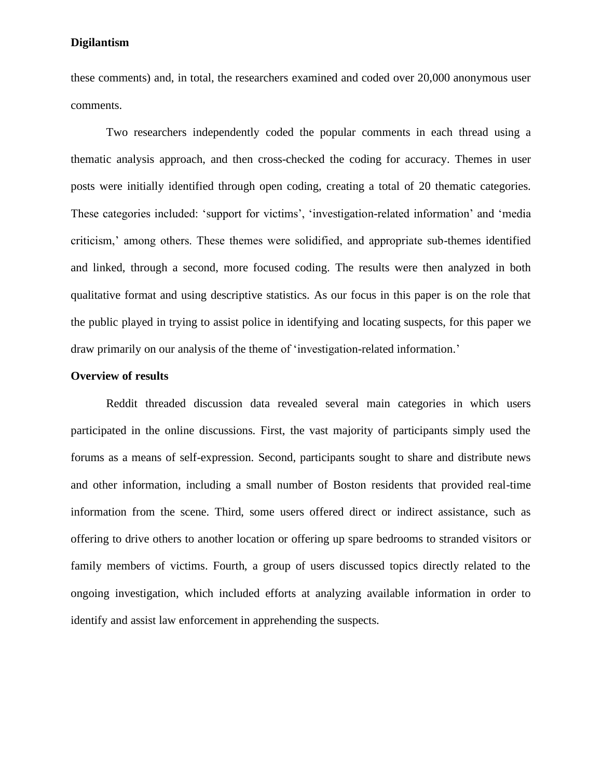these comments) and, in total, the researchers examined and coded over 20,000 anonymous user comments.

Two researchers independently coded the popular comments in each thread using a thematic analysis approach, and then cross-checked the coding for accuracy. Themes in user posts were initially identified through open coding, creating a total of 20 thematic categories. These categories included: 'support for victims', 'investigation-related information' and 'media criticism,' among others. These themes were solidified, and appropriate sub-themes identified and linked, through a second, more focused coding. The results were then analyzed in both qualitative format and using descriptive statistics. As our focus in this paper is on the role that the public played in trying to assist police in identifying and locating suspects, for this paper we draw primarily on our analysis of the theme of 'investigation-related information.'

### **Overview of results**

Reddit threaded discussion data revealed several main categories in which users participated in the online discussions. First, the vast majority of participants simply used the forums as a means of self-expression. Second, participants sought to share and distribute news and other information, including a small number of Boston residents that provided real-time information from the scene. Third, some users offered direct or indirect assistance, such as offering to drive others to another location or offering up spare bedrooms to stranded visitors or family members of victims. Fourth, a group of users discussed topics directly related to the ongoing investigation, which included efforts at analyzing available information in order to identify and assist law enforcement in apprehending the suspects.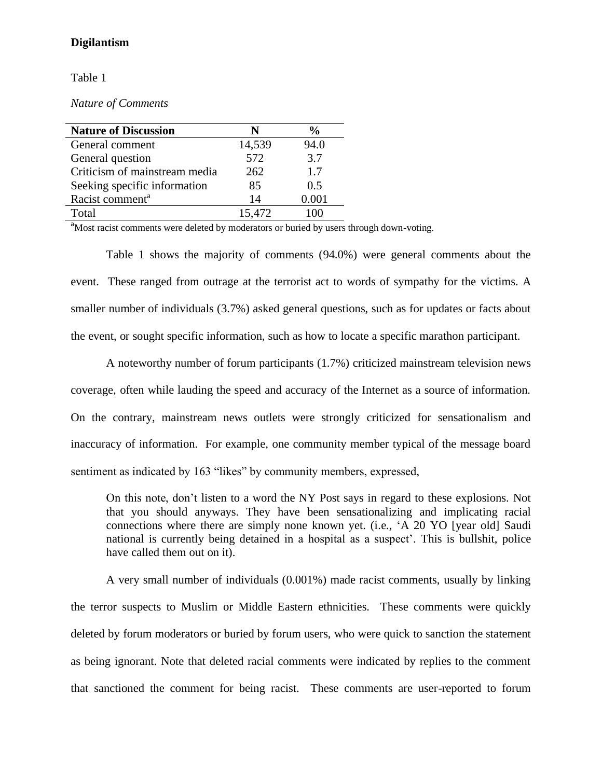### Table 1

*Nature of Comments*

| <b>Nature of Discussion</b>   |        | $\%$  |
|-------------------------------|--------|-------|
| General comment               | 14,539 | 94.0  |
| General question              | 572    | 3.7   |
| Criticism of mainstream media | 262    | 1.7   |
| Seeking specific information  | 85     | 0.5   |
| Racist comment <sup>a</sup>   | 14     | 0.001 |
| Total                         | 15,472 |       |

<sup>a</sup>Most racist comments were deleted by moderators or buried by users through down-voting.

Table 1 shows the majority of comments (94.0%) were general comments about the event. These ranged from outrage at the terrorist act to words of sympathy for the victims. A smaller number of individuals (3.7%) asked general questions, such as for updates or facts about the event, or sought specific information, such as how to locate a specific marathon participant.

A noteworthy number of forum participants (1.7%) criticized mainstream television news coverage, often while lauding the speed and accuracy of the Internet as a source of information. On the contrary, mainstream news outlets were strongly criticized for sensationalism and inaccuracy of information. For example, one community member typical of the message board sentiment as indicated by 163 "likes" by community members, expressed,

On this note, don't listen to a word the NY Post says in regard to these explosions. Not that you should anyways. They have been sensationalizing and implicating racial connections where there are simply none known yet. (i.e., 'A 20 YO [year old] Saudi national is currently being detained in a hospital as a suspect'. This is bullshit, police have called them out on it).

A very small number of individuals (0.001%) made racist comments, usually by linking the terror suspects to Muslim or Middle Eastern ethnicities. These comments were quickly deleted by forum moderators or buried by forum users, who were quick to sanction the statement as being ignorant. Note that deleted racial comments were indicated by replies to the comment that sanctioned the comment for being racist. These comments are user-reported to forum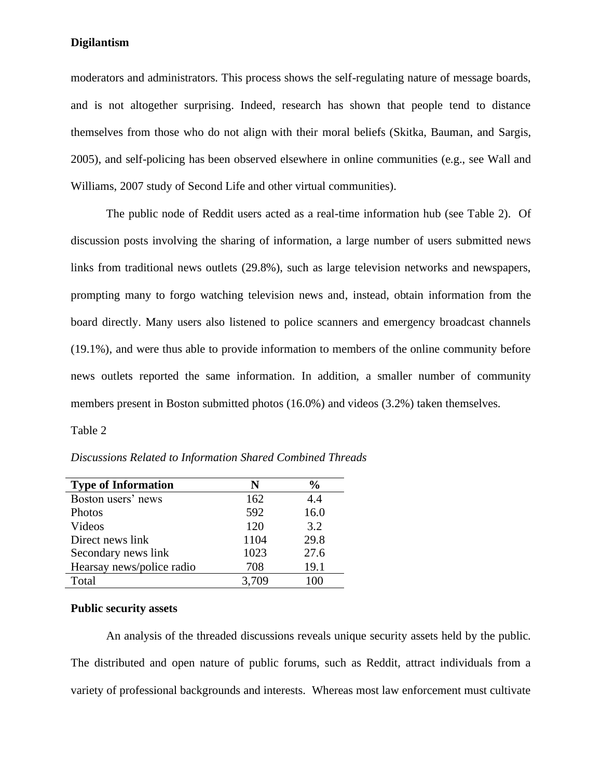moderators and administrators. This process shows the self-regulating nature of message boards, and is not altogether surprising. Indeed, research has shown that people tend to distance themselves from those who do not align with their moral beliefs (Skitka, Bauman, and Sargis, 2005), and self-policing has been observed elsewhere in online communities (e.g., see Wall and Williams, 2007 study of Second Life and other virtual communities).

The public node of Reddit users acted as a real-time information hub (see Table 2). Of discussion posts involving the sharing of information, a large number of users submitted news links from traditional news outlets (29.8%), such as large television networks and newspapers, prompting many to forgo watching television news and, instead, obtain information from the board directly. Many users also listened to police scanners and emergency broadcast channels (19.1%), and were thus able to provide information to members of the online community before news outlets reported the same information. In addition, a smaller number of community members present in Boston submitted photos (16.0%) and videos (3.2%) taken themselves.

Table 2

*Discussions Related to Information Shared Combined Threads*

| <b>Type of Information</b> | N     | $\frac{0}{0}$ |
|----------------------------|-------|---------------|
| Boston users' news         | 162   | 4.4           |
| Photos                     | 592   | 16.0          |
| Videos                     | 120   | 3.2           |
| Direct news link           | 1104  | 29.8          |
| Secondary news link        | 1023  | 27.6          |
| Hearsay news/police radio  | 708   | 19.1          |
| Total                      | 3.709 |               |

### **Public security assets**

An analysis of the threaded discussions reveals unique security assets held by the public. The distributed and open nature of public forums, such as Reddit, attract individuals from a variety of professional backgrounds and interests. Whereas most law enforcement must cultivate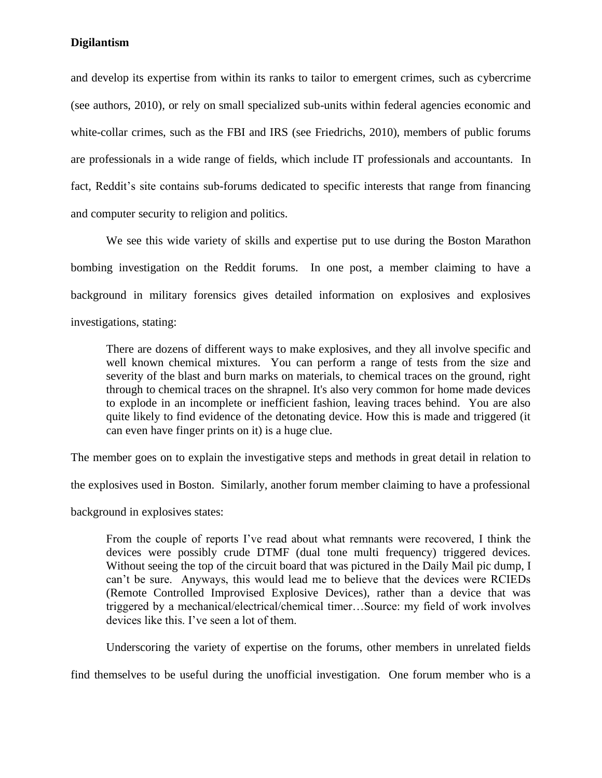and develop its expertise from within its ranks to tailor to emergent crimes, such as cybercrime (see authors, 2010), or rely on small specialized sub-units within federal agencies economic and white-collar crimes, such as the FBI and IRS (see Friedrichs, 2010), members of public forums are professionals in a wide range of fields, which include IT professionals and accountants. In fact, Reddit's site contains sub-forums dedicated to specific interests that range from financing and computer security to religion and politics.

We see this wide variety of skills and expertise put to use during the Boston Marathon bombing investigation on the Reddit forums. In one post, a member claiming to have a background in military forensics gives detailed information on explosives and explosives investigations, stating:

There are dozens of different ways to make explosives, and they all involve specific and well known chemical mixtures. You can perform a range of tests from the size and severity of the blast and burn marks on materials, to chemical traces on the ground, right through to chemical traces on the shrapnel. It's also very common for home made devices to explode in an incomplete or inefficient fashion, leaving traces behind. You are also quite likely to find evidence of the detonating device. How this is made and triggered (it can even have finger prints on it) is a huge clue.

The member goes on to explain the investigative steps and methods in great detail in relation to

the explosives used in Boston. Similarly, another forum member claiming to have a professional

background in explosives states:

From the couple of reports I've read about what remnants were recovered, I think the devices were possibly crude DTMF (dual tone multi frequency) triggered devices. Without seeing the top of the circuit board that was pictured in the Daily Mail pic dump, I can't be sure. Anyways, this would lead me to believe that the devices were RCIEDs (Remote Controlled Improvised Explosive Devices), rather than a device that was triggered by a mechanical/electrical/chemical timer…Source: my field of work involves devices like this. I've seen a lot of them.

Underscoring the variety of expertise on the forums, other members in unrelated fields

find themselves to be useful during the unofficial investigation. One forum member who is a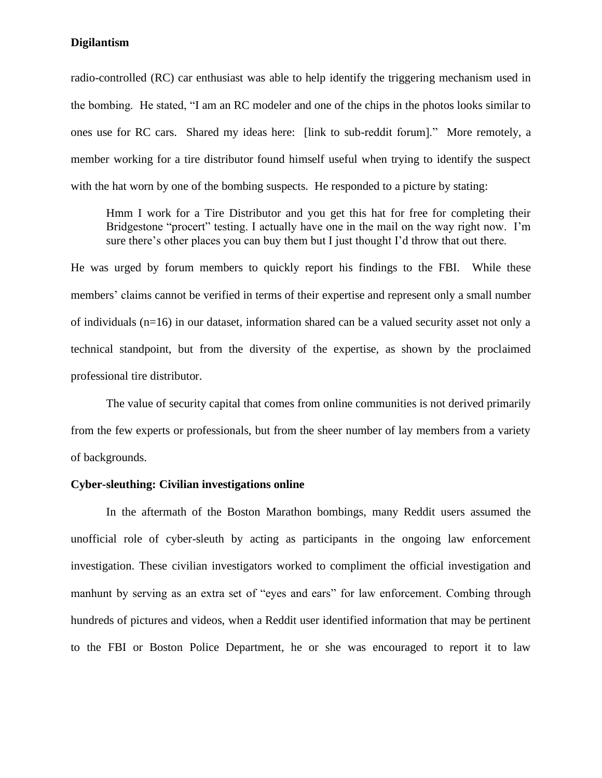radio-controlled (RC) car enthusiast was able to help identify the triggering mechanism used in the bombing. He stated, "I am an RC modeler and one of the chips in the photos looks similar to ones use for RC cars. Shared my ideas here: [link to sub-reddit forum]." More remotely, a member working for a tire distributor found himself useful when trying to identify the suspect with the hat worn by one of the bombing suspects. He responded to a picture by stating:

Hmm I work for a Tire Distributor and you get this hat for free for completing their Bridgestone "procert" testing. I actually have one in the mail on the way right now. I'm sure there's other places you can buy them but I just thought I'd throw that out there.

He was urged by forum members to quickly report his findings to the FBI. While these members' claims cannot be verified in terms of their expertise and represent only a small number of individuals (n=16) in our dataset, information shared can be a valued security asset not only a technical standpoint, but from the diversity of the expertise, as shown by the proclaimed professional tire distributor.

The value of security capital that comes from online communities is not derived primarily from the few experts or professionals, but from the sheer number of lay members from a variety of backgrounds.

### **Cyber-sleuthing: Civilian investigations online**

In the aftermath of the Boston Marathon bombings, many Reddit users assumed the unofficial role of cyber-sleuth by acting as participants in the ongoing law enforcement investigation. These civilian investigators worked to compliment the official investigation and manhunt by serving as an extra set of "eyes and ears" for law enforcement. Combing through hundreds of pictures and videos, when a Reddit user identified information that may be pertinent to the FBI or Boston Police Department, he or she was encouraged to report it to law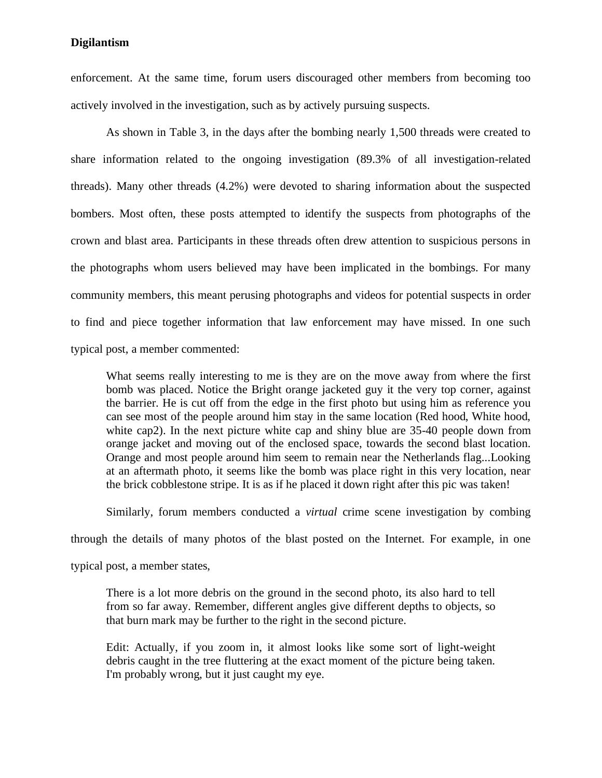enforcement. At the same time, forum users discouraged other members from becoming too actively involved in the investigation, such as by actively pursuing suspects.

As shown in Table 3, in the days after the bombing nearly 1,500 threads were created to share information related to the ongoing investigation (89.3% of all investigation-related threads). Many other threads (4.2%) were devoted to sharing information about the suspected bombers. Most often, these posts attempted to identify the suspects from photographs of the crown and blast area. Participants in these threads often drew attention to suspicious persons in the photographs whom users believed may have been implicated in the bombings. For many community members, this meant perusing photographs and videos for potential suspects in order to find and piece together information that law enforcement may have missed. In one such typical post, a member commented:

What seems really interesting to me is they are on the move away from where the first bomb was placed. Notice the Bright orange jacketed guy it the very top corner, against the barrier. He is cut off from the edge in the first photo but using him as reference you can see most of the people around him stay in the same location (Red hood, White hood, white cap2). In the next picture white cap and shiny blue are 35-40 people down from orange jacket and moving out of the enclosed space, towards the second blast location. Orange and most people around him seem to remain near the Netherlands flag...Looking at an aftermath photo, it seems like the bomb was place right in this very location, near the brick cobblestone stripe. It is as if he placed it down right after this pic was taken!

Similarly, forum members conducted a *virtual* crime scene investigation by combing

through the details of many photos of the blast posted on the Internet. For example, in one

typical post, a member states,

There is a lot more debris on the ground in the second photo, its also hard to tell from so far away. Remember, different angles give different depths to objects, so that burn mark may be further to the right in the second picture.

Edit: Actually, if you zoom in, it almost looks like some sort of light-weight debris caught in the tree fluttering at the exact moment of the picture being taken. I'm probably wrong, but it just caught my eye.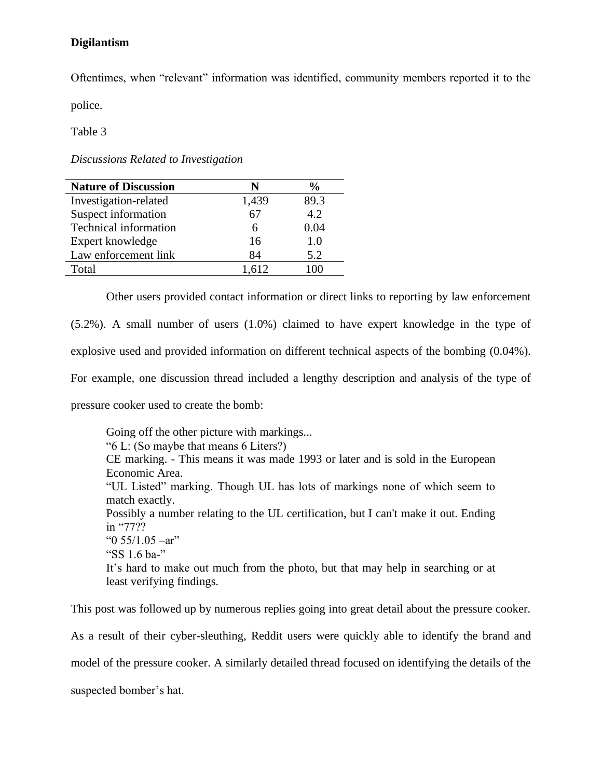Oftentimes, when "relevant" information was identified, community members reported it to the

police.

Table 3

*Discussions Related to Investigation*

| <b>Nature of Discussion</b> | N     | $\frac{6}{9}$ |
|-----------------------------|-------|---------------|
| Investigation-related       | 1,439 | 89.3          |
| Suspect information         | 67    | 4.2           |
| Technical information       | 6     | 0.04          |
| Expert knowledge            | 16    | 1.0           |
| Law enforcement link        | 84    | 5.2           |
| Total                       | 1.612 |               |

Other users provided contact information or direct links to reporting by law enforcement (5.2%). A small number of users (1.0%) claimed to have expert knowledge in the type of explosive used and provided information on different technical aspects of the bombing (0.04%). For example, one discussion thread included a lengthy description and analysis of the type of pressure cooker used to create the bomb:

Going off the other picture with markings... "6 L: (So maybe that means 6 Liters?) CE marking. - This means it was made 1993 or later and is sold in the European Economic Area. "UL Listed" marking. Though UL has lots of markings none of which seem to match exactly. Possibly a number relating to the UL certification, but I can't make it out. Ending in "77?? " $0$  55/1.05 –ar" "SS 1.6 ba-" It's hard to make out much from the photo, but that may help in searching or at least verifying findings.

This post was followed up by numerous replies going into great detail about the pressure cooker. As a result of their cyber-sleuthing, Reddit users were quickly able to identify the brand and model of the pressure cooker. A similarly detailed thread focused on identifying the details of the suspected bomber's hat.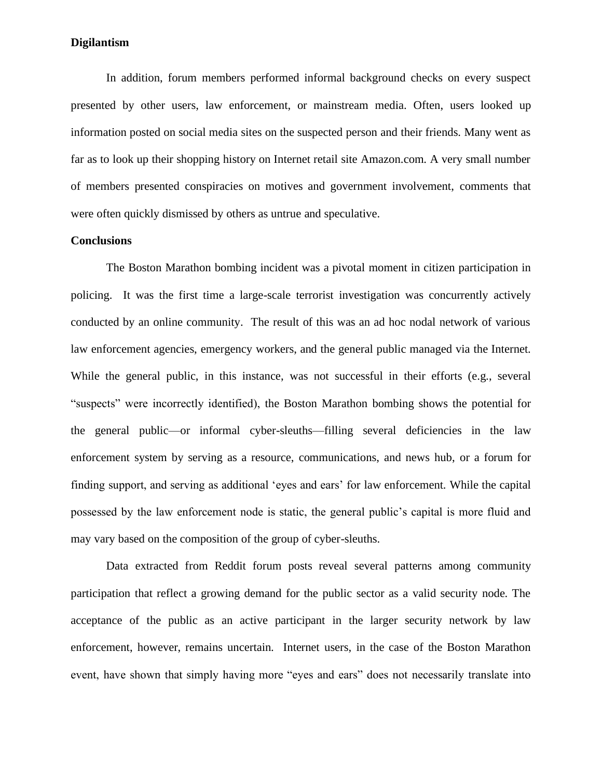In addition, forum members performed informal background checks on every suspect presented by other users, law enforcement, or mainstream media. Often, users looked up information posted on social media sites on the suspected person and their friends. Many went as far as to look up their shopping history on Internet retail site Amazon.com. A very small number of members presented conspiracies on motives and government involvement, comments that were often quickly dismissed by others as untrue and speculative.

### **Conclusions**

The Boston Marathon bombing incident was a pivotal moment in citizen participation in policing. It was the first time a large-scale terrorist investigation was concurrently actively conducted by an online community. The result of this was an ad hoc nodal network of various law enforcement agencies, emergency workers, and the general public managed via the Internet. While the general public, in this instance, was not successful in their efforts (e.g., several "suspects" were incorrectly identified), the Boston Marathon bombing shows the potential for the general public—or informal cyber-sleuths—filling several deficiencies in the law enforcement system by serving as a resource, communications, and news hub, or a forum for finding support, and serving as additional 'eyes and ears' for law enforcement. While the capital possessed by the law enforcement node is static, the general public's capital is more fluid and may vary based on the composition of the group of cyber-sleuths.

Data extracted from Reddit forum posts reveal several patterns among community participation that reflect a growing demand for the public sector as a valid security node. The acceptance of the public as an active participant in the larger security network by law enforcement, however, remains uncertain. Internet users, in the case of the Boston Marathon event, have shown that simply having more "eyes and ears" does not necessarily translate into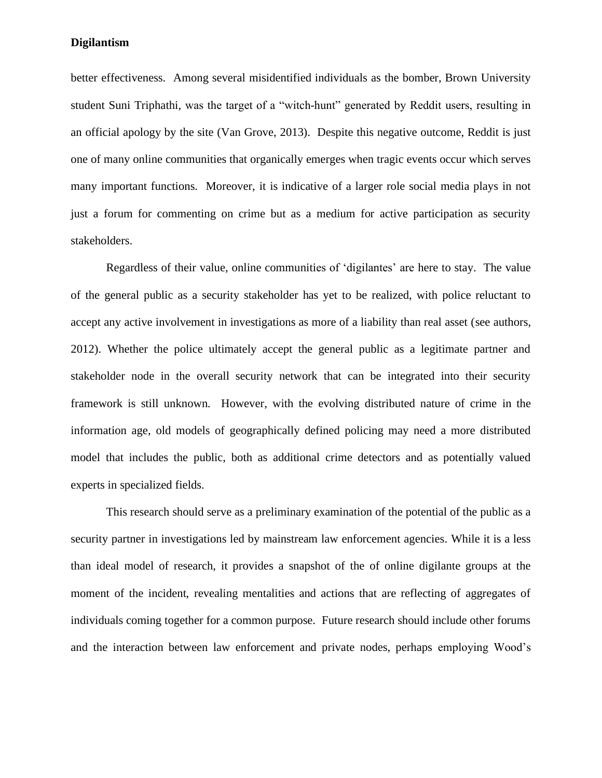better effectiveness. Among several misidentified individuals as the bomber, Brown University student Suni Triphathi, was the target of a "witch-hunt" generated by Reddit users, resulting in an official apology by the site (Van Grove, 2013). Despite this negative outcome, Reddit is just one of many online communities that organically emerges when tragic events occur which serves many important functions. Moreover, it is indicative of a larger role social media plays in not just a forum for commenting on crime but as a medium for active participation as security stakeholders.

Regardless of their value, online communities of 'digilantes' are here to stay. The value of the general public as a security stakeholder has yet to be realized, with police reluctant to accept any active involvement in investigations as more of a liability than real asset (see authors, 2012). Whether the police ultimately accept the general public as a legitimate partner and stakeholder node in the overall security network that can be integrated into their security framework is still unknown. However, with the evolving distributed nature of crime in the information age, old models of geographically defined policing may need a more distributed model that includes the public, both as additional crime detectors and as potentially valued experts in specialized fields.

This research should serve as a preliminary examination of the potential of the public as a security partner in investigations led by mainstream law enforcement agencies. While it is a less than ideal model of research, it provides a snapshot of the of online digilante groups at the moment of the incident, revealing mentalities and actions that are reflecting of aggregates of individuals coming together for a common purpose. Future research should include other forums and the interaction between law enforcement and private nodes, perhaps employing Wood's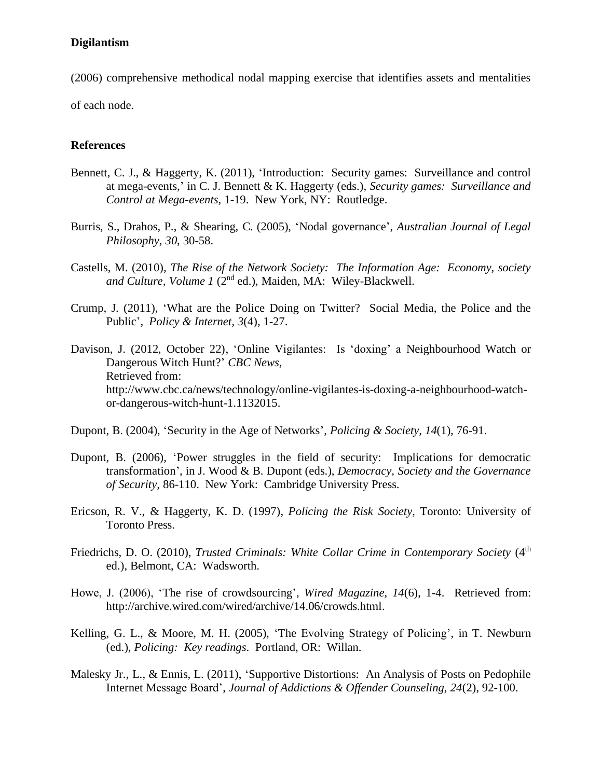(2006) comprehensive methodical nodal mapping exercise that identifies assets and mentalities of each node.

## **References**

- Bennett, C. J., & Haggerty, K. (2011), 'Introduction: Security games: Surveillance and control at mega-events,' in C. J. Bennett & K. Haggerty (eds.), *Security games: Surveillance and Control at Mega-events,* 1-19. New York, NY: Routledge.
- Burris, S., Drahos, P., & Shearing, C. (2005), 'Nodal governance', *Australian Journal of Legal Philosophy, 30*, 30-58.
- Castells, M. (2010), *The Rise of the Network Society: The Information Age: Economy, society and Culture, Volume 1* (2nd ed.), Maiden, MA: Wiley-Blackwell.
- Crump, J. (2011), 'What are the Police Doing on Twitter? Social Media, the Police and the Public', *Policy & Internet, 3*(4), 1-27.
- Davison, J. (2012, October 22), 'Online Vigilantes: Is 'doxing' a Neighbourhood Watch or Dangerous Witch Hunt?' *CBC News*, Retrieved from: http://www.cbc.ca/news/technology/online-vigilantes-is-doxing-a-neighbourhood-watchor-dangerous-witch-hunt-1.1132015.
- Dupont, B. (2004), 'Security in the Age of Networks', *Policing & Society, 14*(1), 76-91.
- Dupont, B. (2006), 'Power struggles in the field of security: Implications for democratic transformation', in J. Wood & B. Dupont (eds.), *Democracy, Society and the Governance of Security,* 86-110. New York: Cambridge University Press.
- Ericson, R. V., & Haggerty, K. D. (1997), *Policing the Risk Society*, Toronto: University of Toronto Press.
- Friedrichs, D. O. (2010), *Trusted Criminals: White Collar Crime in Contemporary Society* (4<sup>th</sup>) ed.), Belmont, CA: Wadsworth.
- Howe, J. (2006), 'The rise of crowdsourcing', *Wired Magazine, 14*(6), 1-4. Retrieved from: http://archive.wired.com/wired/archive/14.06/crowds.html.
- Kelling, G. L., & Moore, M. H. (2005), 'The Evolving Strategy of Policing', in T. Newburn (ed.), *Policing: Key readings*. Portland, OR: Willan.
- Malesky Jr., L., & Ennis, L. (2011), 'Supportive Distortions: An Analysis of Posts on Pedophile Internet Message Board', *Journal of Addictions & Offender Counseling, 24*(2), 92-100.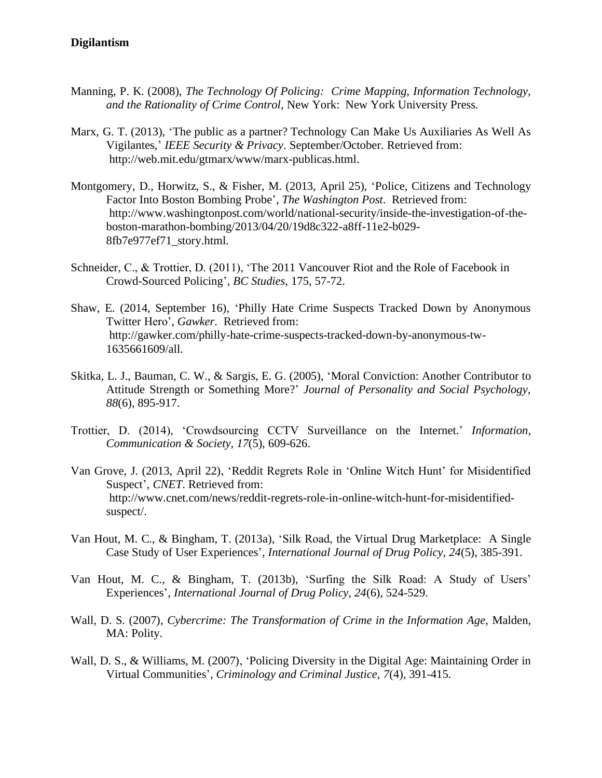- Manning, P. K. (2008), *The Technology Of Policing: Crime Mapping, Information Technology, and the Rationality of Crime Control*, New York: New York University Press.
- Marx, G. T. (2013), 'The public as a partner? Technology Can Make Us Auxiliaries As Well As Vigilantes,' *IEEE Security & Privacy*. September/October. Retrieved from: http://web.mit.edu/gtmarx/www/marx-publicas.html.
- Montgomery, D., Horwitz, S., & Fisher, M. (2013, April 25), 'Police, Citizens and Technology Factor Into Boston Bombing Probe', *The Washington Post*. Retrieved from: http://www.washingtonpost.com/world/national-security/inside-the-investigation-of-theboston-marathon-bombing/2013/04/20/19d8c322-a8ff-11e2-b029- 8fb7e977ef71\_story.html.
- Schneider, C., & Trottier, D. (2011), 'The 2011 Vancouver Riot and the Role of Facebook in Crowd-Sourced Policing', *BC Studies*, 175, 57-72.
- Shaw, E. (2014, September 16), 'Philly Hate Crime Suspects Tracked Down by Anonymous Twitter Hero', *Gawker*. Retrieved from: http://gawker.com/philly-hate-crime-suspects-tracked-down-by-anonymous-tw-1635661609/all.
- Skitka, L. J., Bauman, C. W., & Sargis, E. G. (2005), 'Moral Conviction: Another Contributor to Attitude Strength or Something More?' *Journal of Personality and Social Psychology, 88*(6), 895-917.
- Trottier, D. (2014), 'Crowdsourcing CCTV Surveillance on the Internet.' *Information, Communication & Society, 17*(5), 609-626.
- Van Grove, J. (2013, April 22), 'Reddit Regrets Role in 'Online Witch Hunt' for Misidentified Suspect', *CNET*. Retrieved from: http://www.cnet.com/news/reddit-regrets-role-in-online-witch-hunt-for-misidentifiedsuspect/.
- Van Hout, M. C., & Bingham, T. (2013a), 'Silk Road, the Virtual Drug Marketplace: A Single Case Study of User Experiences', *International Journal of Drug Policy, 24*(5), 385-391.
- Van Hout, M. C., & Bingham, T. (2013b), 'Surfing the Silk Road: A Study of Users' Experiences', *International Journal of Drug Policy, 24*(6), 524-529.
- Wall, D. S. (2007), *Cybercrime: The Transformation of Crime in the Information Age*, Malden, MA: Polity.
- Wall, D. S., & Williams, M. (2007), 'Policing Diversity in the Digital Age: Maintaining Order in Virtual Communities', *Criminology and Criminal Justice, 7*(4), 391-415.